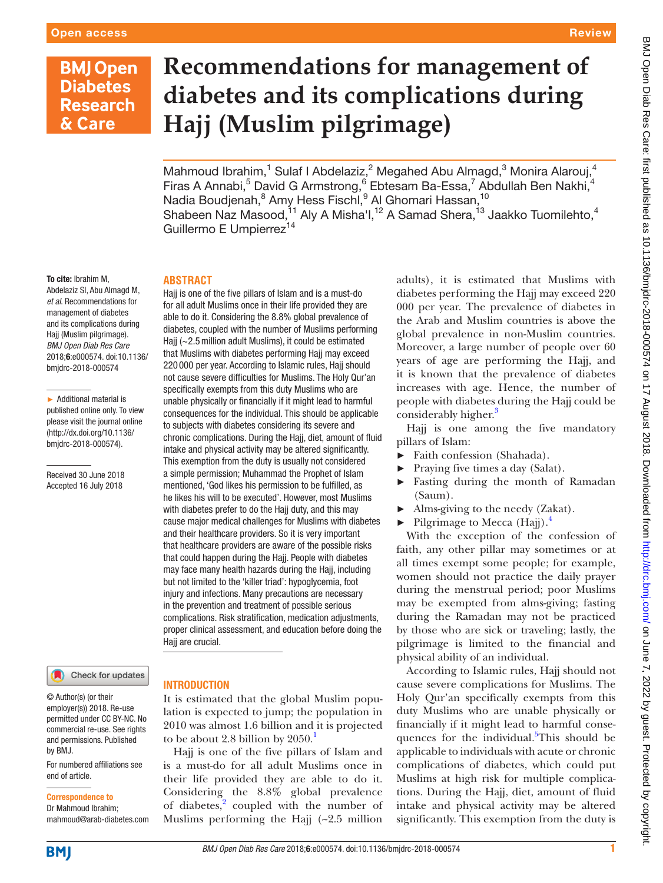# **BMJ Open Diabetes Research** & Care

# **Recommendations for management of diabetes and its complications during Hajj (Muslim pilgrimage)**

Mahmoud Ibrahim,<sup>1</sup> Sulaf I Abdelaziz,<sup>2</sup> Megahed Abu Almagd,<sup>3</sup> Monira Alarouj,<sup>4</sup> Firas A Annabi,<sup>5</sup> David G Armstrong,<sup>6</sup> Ebtesam Ba-Essa,<sup>7</sup> Abdullah Ben Nakhi,<sup>4</sup> Nadia Boudjenah, <sup>8</sup> Amy Hess Fischl, <sup>9</sup> Al Ghomari Hassan, <sup>10</sup> Shabeen Naz Masood,<sup>11</sup> Aly A Misha'l,<sup>12</sup> A Samad Shera,<sup>13</sup> Jaakko Tuomilehto,<sup>4</sup> Guillermo E Umpierrez<sup>14</sup>

#### To cite: Ibrahim M,

Abdelaziz SI, Abu Almagd M, *et al*. Recommendations for management of diabetes and its complications during Hajj (Muslim pilgrimage). *BMJ Open Diab Res Care* 2018;6:e000574. doi:10.1136/ bmjdrc-2018-000574

► Additional material is published online only. To view please visit the journal online ([http://dx.doi.org/10.1136/](http://dx.doi.org/10.1136/bmjdrc-2018-000574) [bmjdrc-2018-000574\)](http://dx.doi.org/10.1136/bmjdrc-2018-000574).

Received 30 June 2018 Accepted 16 July 2018

#### (**A**) Check for updates

© Author(s) (or their employer(s)) 2018. Re-use permitted under CC BY-NC. No commercial re-use. See rights and permissions. Published by BMJ.

For numbered affiliations see end of article.

#### Correspondence to

Dr Mahmoud Ibrahim; mahmoud@arab-diabetes.com

#### **ABSTRACT**

**INTRODUCTION** 

Hajj is one of the five pillars of Islam and is a must-do for all adult Muslims once in their life provided they are able to do it. Considering the 8.8% global prevalence of diabetes, coupled with the number of Muslims performing Hajj  $\left(-2.5\right)$  million adult Muslims), it could be estimated that Muslims with diabetes performing Hajj may exceed 220 000 per year. According to Islamic rules, Hajj should not cause severe difficulties for Muslims. The Holy Qur'an specifically exempts from this duty Muslims who are unable physically or financially if it might lead to harmful consequences for the individual. This should be applicable to subjects with diabetes considering its severe and chronic complications. During the Hajj, diet, amount of fluid intake and physical activity may be altered significantly. This exemption from the duty is usually not considered a simple permission; Muhammad the Prophet of Islam mentioned, 'God likes his permission to be fulfilled, as he likes his will to be executed'. However, most Muslims with diabetes prefer to do the Hajj duty, and this may cause major medical challenges for Muslims with diabetes and their healthcare providers. So it is very important that healthcare providers are aware of the possible risks that could happen during the Hajj. People with diabetes may face many health hazards during the Hajj, including but not limited to the 'killer triad': hypoglycemia, foot injury and infections. Many precautions are necessary in the prevention and treatment of possible serious complications. Risk stratification, medication adjustments, proper clinical assessment, and education before doing the Haii are crucial.

It is estimated that the global Muslim population is expected to jump; the population in 2010 was almost 1.6 billion and it is projected

Hajj is one of the five pillars of Islam and is a must-do for all adult Muslims once in their life provided they are able to do it. Considering the 8.8% global prevalence of diabetes,<sup>[2](#page-7-1)</sup> coupled with the number of Muslims performing the Hajj (~2.5 million

to be about 2.8 billion by  $2050<sup>1</sup>$ 

adults), it is estimated that Muslims with diabetes performing the Hajj may exceed 220 000 per year. The prevalence of diabetes in the Arab and Muslim countries is above the global prevalence in non-Muslim countries. Moreover, a large number of people over 60 years of age are performing the Hajj, and it is known that the prevalence of diabetes increases with age. Hence, the number of people with diabetes during the Hajj could be considerably higher.<sup>3</sup> Hajj is one among the five mandatory pillars of Islam: ► Faith confession (Shahada). ► Praying five times a day (Salat). Fasting during the month of Ramadan (Saum). ► Alms-giving to the needy (Zakat).

 $\blacktriangleright$  Pilgrimage to Mecca (Hajj).<sup>[4](#page-7-3)</sup>

With the exception of the confession of faith, any other pillar may sometimes or at all times exempt some people; for example, women should not practice the daily prayer during the menstrual period; poor Muslims may be exempted from alms-giving; fasting during the Ramadan may not be practiced by those who are sick or traveling; lastly, the pilgrimage is limited to the financial and physical ability of an individual.

According to Islamic rules, Hajj should not cause severe complications for Muslims. The Holy Qur'an specifically exempts from this duty Muslims who are unable physically or financially if it might lead to harmful consequences for the individual.<sup>5</sup>This should be applicable to individuals with acute or chronic complications of diabetes, which could put Muslims at high risk for multiple complications. During the Hajj, diet, amount of fluid intake and physical activity may be altered significantly. This exemption from the duty is

Review

**BMI**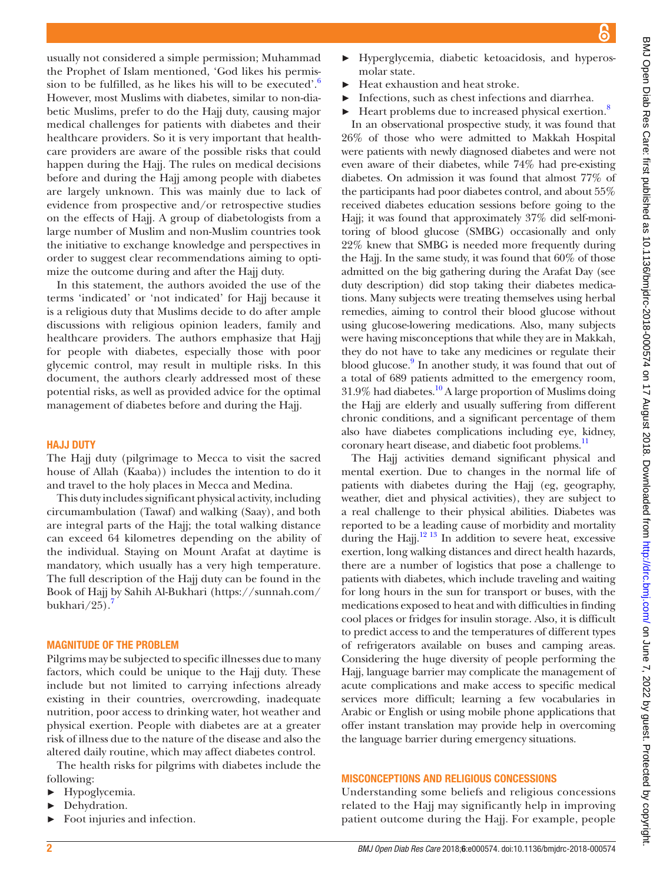BMJ Open Diab Res Care: first published as 10.1136/bmjdrc-2018-000574 on 17 August 2018. Downloaded from Dimpill Ampill Amgram, BMJ Open Diab Res Carected by copyright.

usually not considered a simple permission; Muhammad the Prophet of Islam mentioned, 'God likes his permission to be fulfilled, as he likes his will to be executed'. $\frac{6}{5}$  $\frac{6}{5}$  $\frac{6}{5}$ However, most Muslims with diabetes, similar to non-diabetic Muslims, prefer to do the Hajj duty, causing major medical challenges for patients with diabetes and their healthcare providers. So it is very important that healthcare providers are aware of the possible risks that could happen during the Hajj. The rules on medical decisions before and during the Hajj among people with diabetes are largely unknown. This was mainly due to lack of evidence from prospective and/or retrospective studies on the effects of Hajj. A group of diabetologists from a large number of Muslim and non-Muslim countries took the initiative to exchange knowledge and perspectives in order to suggest clear recommendations aiming to optimize the outcome during and after the Hajj duty.

In this statement, the authors avoided the use of the terms 'indicated' or 'not indicated' for Hajj because it is a religious duty that Muslims decide to do after ample discussions with religious opinion leaders, family and healthcare providers. The authors emphasize that Hajj for people with diabetes, especially those with poor glycemic control, may result in multiple risks. In this document, the authors clearly addressed most of these potential risks, as well as provided advice for the optimal management of diabetes before and during the Hajj.

#### **HAJJ DUTY**

The Hajj duty (pilgrimage to Mecca to visit the sacred house of Allah (Kaaba)) includes the intention to do it and travel to the holy places in Mecca and Medina.

This duty includes significant physical activity, including circumambulation (Tawaf) and walking (Saay), and both are integral parts of the Hajj; the total walking distance can exceed 64 kilometres depending on the ability of the individual. Staying on Mount Arafat at daytime is mandatory, which usually has a very high temperature. The full description of the Hajj duty can be found in the Book of Hajj by Sahih Al-Bukhari ([https://sunnah.com/](https://sunnah.com/bukhari/25) bukhari $/25$ ).

#### Magnitude of the problem

Pilgrims may be subjected to specific illnesses due to many factors, which could be unique to the Hajj duty. These include but not limited to carrying infections already existing in their countries, overcrowding, inadequate nutrition, poor access to drinking water, hot weather and physical exertion. People with diabetes are at a greater risk of illness due to the nature of the disease and also the altered daily routine, which may affect diabetes control.

The health risks for pilgrims with diabetes include the following:

- ► Hypoglycemia.
- Dehydration.
- ► Foot injuries and infection.
- ► Hyperglycemia, diabetic ketoacidosis, and hyperosmolar state.
- Heat exhaustion and heat stroke.
- ► Infections, such as chest infections and diarrhea.
- $\blacktriangleright$  Heart problems due to increased physical exertion.<sup>8</sup>

In an observational prospective study, it was found that 26% of those who were admitted to Makkah Hospital were patients with newly diagnosed diabetes and were not even aware of their diabetes, while 74% had pre-existing diabetes. On admission it was found that almost 77% of the participants had poor diabetes control, and about 55% received diabetes education sessions before going to the Hajj; it was found that approximately 37% did self-monitoring of blood glucose (SMBG) occasionally and only 22% knew that SMBG is needed more frequently during the Hajj. In the same study, it was found that 60% of those admitted on the big gathering during the Arafat Day (see duty description) did stop taking their diabetes medications. Many subjects were treating themselves using herbal remedies, aiming to control their blood glucose without using glucose-lowering medications. Also, many subjects were having misconceptions that while they are in Makkah, they do not have to take any medicines or regulate their blood glucose.<sup>[9](#page-7-8)</sup> In another study, it was found that out of a total of 689 patients admitted to the emergency room,  $31.9\%$  had diabetes.<sup>10</sup> A large proportion of Muslims doing the Hajj are elderly and usually suffering from different chronic conditions, and a significant percentage of them also have diabetes complications including eye, kidney, coronary heart disease, and diabetic foot problems.<sup>11</sup>

The Hajj activities demand significant physical and mental exertion. Due to changes in the normal life of patients with diabetes during the Hajj (eg, geography, weather, diet and physical activities), they are subject to a real challenge to their physical abilities. Diabetes was reported to be a leading cause of morbidity and mortality during the Hajj. $12 \times 13$  In addition to severe heat, excessive exertion, long walking distances and direct health hazards, there are a number of logistics that pose a challenge to patients with diabetes, which include traveling and waiting for long hours in the sun for transport or buses, with the medications exposed to heat and with difficulties in finding cool places or fridges for insulin storage. Also, it is difficult to predict access to and the temperatures of different types of refrigerators available on buses and camping areas. Considering the huge diversity of people performing the Hajj, language barrier may complicate the management of acute complications and make access to specific medical services more difficult; learning a few vocabularies in Arabic or English or using mobile phone applications that offer instant translation may provide help in overcoming the language barrier during emergency situations.

#### Misconceptions and religious concessions

Understanding some beliefs and religious concessions related to the Hajj may significantly help in improving patient outcome during the Hajj. For example, people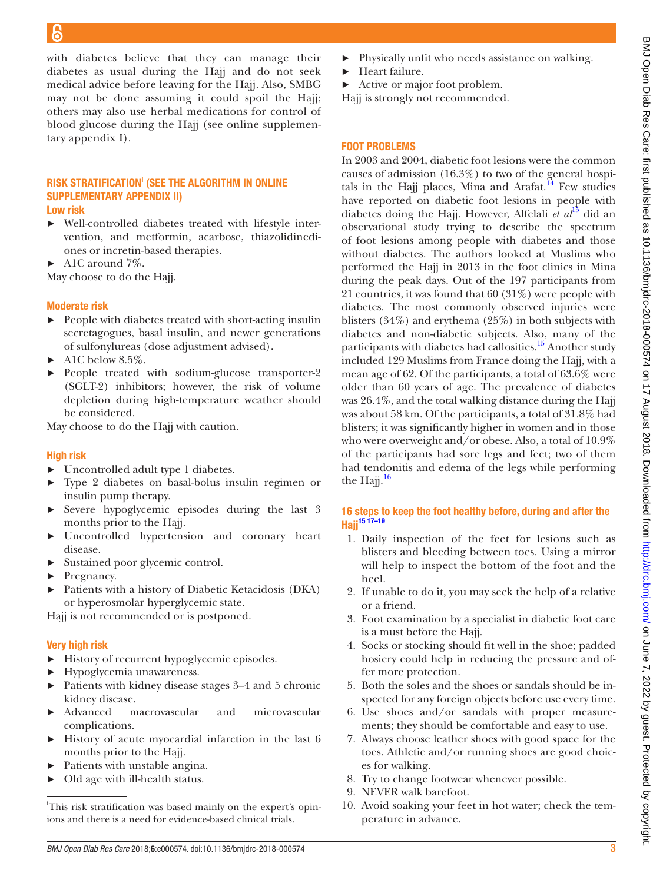with diabetes believe that they can manage their diabetes as usual during the Hajj and do not seek medical advice before leaving for the Hajj. Also, SMBG may not be done assuming it could spoil the Hajj; others may also use herbal medications for control of blood glucose during the Hajj (see [online supplemen](https://dx.doi.org/10.1136/bmjdrc-2018-000574)[tary appendix I\)](https://dx.doi.org/10.1136/bmjdrc-2018-000574).

## RISK STRATIFICATION<sup>I</sup> (SEE THE ALGORITHM IN ONLINE supplementary appendix II)

#### Low risk

- ► Well-controlled diabetes treated with lifestyle intervention, and metformin, acarbose, thiazolidinediones or incretin-based therapies.
- $\blacktriangleright$  A1C around 7%.

May choose to do the Hajj.

#### Moderate risk

- ► People with diabetes treated with short-acting insulin secretagogues, basal insulin, and newer generations of sulfonylureas (dose adjustment advised).
- $\blacktriangleright$  A1C below 8.5%.
- People treated with sodium-glucose transporter-2 (SGLT-2) inhibitors; however, the risk of volume depletion during high-temperature weather should be considered.

May choose to do the Hajj with caution.

#### High risk

- ► Uncontrolled adult type 1 diabetes.
- ► Type 2 diabetes on basal-bolus insulin regimen or insulin pump therapy.
- Severe hypoglycemic episodes during the last 3 months prior to the Hajj.
- ► Uncontrolled hypertension and coronary heart disease.
- ► Sustained poor glycemic control.
- ► Pregnancy.
- ► Patients with a history of Diabetic Ketacidosis (DKA) or hyperosmolar hyperglycemic state.

Hajj is not recommended or is postponed.

#### Very high risk

- ► History of recurrent hypoglycemic episodes.
- ► Hypoglycemia unawareness.
- ► Patients with kidney disease stages 3–4 and 5 chronic kidney disease.
- ► Advanced macrovascular and microvascular complications.
- History of acute myocardial infarction in the last 6 months prior to the Hajj.
- ► Patients with unstable angina.
- ► Old age with ill-health status.

i This risk stratification was based mainly on the expert's opinions and there is a need for evidence-based clinical trials.

- Physically unfit who needs assistance on walking.
- ► Heart failure.
- Active or major foot problem.

Hajj is strongly not recommended.

#### Foot problems

In 2003 and 2004, diabetic foot lesions were the common causes of admission (16.3%) to two of the general hospitals in the Hajj places, Mina and Arafat.<sup>14</sup> Few studies have reported on diabetic foot lesions in people with diabetes doing the Hajj. However, Alfelali *et al*<sup>15</sup> did an observational study trying to describe the spectrum of foot lesions among people with diabetes and those without diabetes. The authors looked at Muslims who performed the Hajj in 2013 in the foot clinics in Mina during the peak days. Out of the 197 participants from 21 countries, it was found that 60 (31%) were people with diabetes. The most commonly observed injuries were blisters (34%) and erythema (25%) in both subjects with diabetes and non-diabetic subjects. Also, many of the participants with diabetes had callosities.<sup>15</sup> Another study included 129 Muslims from France doing the Hajj, with a mean age of 62. Of the participants, a total of 63.6% were older than 60 years of age. The prevalence of diabetes was 26.4%, and the total walking distance during the Hajj was about 58 km. Of the participants, a total of 31.8% had blisters; it was significantly higher in women and in those who were overweight and/or obese. Also, a total of 10.9% of the participants had sore legs and feet; two of them had tendonitis and edema of the legs while performing the Hajj. $^{16}$ 

#### 16 steps to keep the foot healthy before, during and after the Hajj<sup>15 17–19</sup>

- 1. Daily inspection of the feet for lesions such as blisters and bleeding between toes. Using a mirror will help to inspect the bottom of the foot and the heel.
- 2. If unable to do it, you may seek the help of a relative or a friend.
- 3. Foot examination by a specialist in diabetic foot care is a must before the Hajj.
- 4. Socks or stocking should fit well in the shoe; padded hosiery could help in reducing the pressure and offer more protection.
- 5. Both the soles and the shoes or sandals should be inspected for any foreign objects before use every time.
- 6. Use shoes and/or sandals with proper measurements; they should be comfortable and easy to use.
- 7. Always choose leather shoes with good space for the toes. Athletic and/or running shoes are good choices for walking.
- 8. Try to change footwear whenever possible.
- 9. NEVER walk barefoot.
- 10. Avoid soaking your feet in hot water; check the temperature in advance.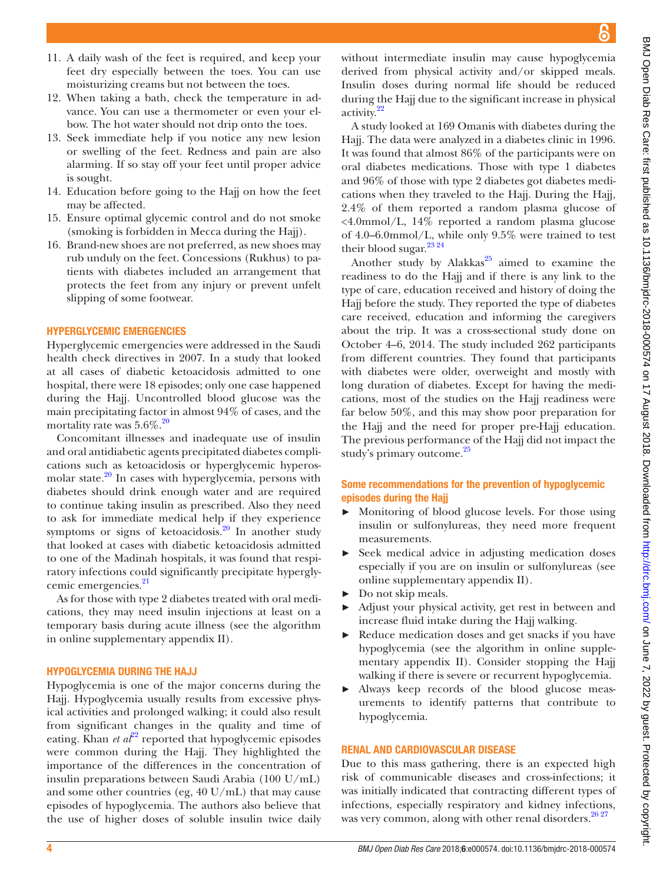- 11. A daily wash of the feet is required, and keep your feet dry especially between the toes. You can use moisturizing creams but not between the toes.
- 12. When taking a bath, check the temperature in advance. You can use a thermometer or even your elbow. The hot water should not drip onto the toes.
- 13. Seek immediate help if you notice any new lesion or swelling of the feet. Redness and pain are also alarming. If so stay off your feet until proper advice is sought.
- 14. Education before going to the Hajj on how the feet may be affected.
- 15. Ensure optimal glycemic control and do not smoke (smoking is forbidden in Mecca during the Hajj).
- 16. Brand-new shoes are not preferred, as new shoes may rub unduly on the feet. Concessions (Rukhus) to patients with diabetes included an arrangement that protects the feet from any injury or prevent unfelt slipping of some footwear.

#### Hyperglycemic emergencies

Hyperglycemic emergencies were addressed in the Saudi health check directives in 2007. In a study that looked at all cases of diabetic ketoacidosis admitted to one hospital, there were 18 episodes; only one case happened during the Hajj. Uncontrolled blood glucose was the main precipitating factor in almost 94% of cases, and the mortality rate was  $5.6\%$ .<sup>20</sup>

Concomitant illnesses and inadequate use of insulin and oral antidiabetic agents precipitated diabetes complications such as ketoacidosis or hyperglycemic hyperosmolar state.<sup>20</sup> In cases with hyperglycemia, persons with diabetes should drink enough water and are required to continue taking insulin as prescribed. Also they need to ask for immediate medical help if they experience symptoms or signs of ketoacidosis.<sup>20</sup> In another study that looked at cases with diabetic ketoacidosis admitted to one of the Madinah hospitals, it was found that respiratory infections could significantly precipitate hypergly-cemic emergencies.<sup>[21](#page-7-16)</sup>

As for those with type 2 diabetes treated with oral medications, they may need insulin injections at least on a temporary basis during acute illness (see the algorithm in [online supplementary appendix II\)](https://dx.doi.org/10.1136/bmjdrc-2018-000574).

#### Hypoglycemia during the Hajj

Hypoglycemia is one of the major concerns during the Hajj. Hypoglycemia usually results from excessive physical activities and prolonged walking; it could also result from significant changes in the quality and time of eating. Khan *et al*<sup>[22](#page-7-17)</sup> reported that hypoglycemic episodes were common during the Hajj. They highlighted the importance of the differences in the concentration of insulin preparations between Saudi Arabia (100 U/mL) and some other countries (eg, 40 U/mL) that may cause episodes of hypoglycemia. The authors also believe that the use of higher doses of soluble insulin twice daily without intermediate insulin may cause hypoglycemia derived from physical activity and/or skipped meals. Insulin doses during normal life should be reduced during the Hajj due to the significant increase in physical activity.[22](#page-7-17)

A study looked at 169 Omanis with diabetes during the Hajj. The data were analyzed in a diabetes clinic in 1996. It was found that almost 86% of the participants were on oral diabetes medications. Those with type 1 diabetes and 96% of those with type 2 diabetes got diabetes medications when they traveled to the Hajj. During the Hajj, 2.4% of them reported a random plasma glucose of <4.0mmol/L, 14% reported a random plasma glucose of 4.0–6.0mmol/L, while only 9.5% were trained to test their blood sugar.<sup>[23 24](#page-7-18)</sup>

Another study by Alakkas $^{25}$  aimed to examine the readiness to do the Hajj and if there is any link to the type of care, education received and history of doing the Hajj before the study. They reported the type of diabetes care received, education and informing the caregivers about the trip. It was a cross-sectional study done on October 4–6, 2014. The study included 262 participants from different countries. They found that participants with diabetes were older, overweight and mostly with long duration of diabetes. Except for having the medications, most of the studies on the Hajj readiness were far below 50%, and this may show poor preparation for the Hajj and the need for proper pre-Hajj education. The previous performance of the Hajj did not impact the study's primary outcome.<sup>25</sup>

#### Some recommendations for the prevention of hypoglycemic episodes during the Hajj

- ► Monitoring of blood glucose levels. For those using insulin or sulfonylureas, they need more frequent measurements.
- Seek medical advice in adjusting medication doses especially if you are on insulin or sulfonylureas (see [online supplementary appendix II\)](https://dx.doi.org/10.1136/bmjdrc-2018-000574).
- ► Do not skip meals.
- ► Adjust your physical activity, get rest in between and increase fluid intake during the Hajj walking.
- Reduce medication doses and get snacks if you have hypoglycemia (see the algorithm in [online supple](https://dx.doi.org/10.1136/bmjdrc-2018-000574)[mentary appendix II\)](https://dx.doi.org/10.1136/bmjdrc-2018-000574). Consider stopping the Hajj walking if there is severe or recurrent hypoglycemia.
- ► Always keep records of the blood glucose measurements to identify patterns that contribute to hypoglycemia.

#### Renal and cardiovascular disease

Due to this mass gathering, there is an expected high risk of communicable diseases and cross-infections; it was initially indicated that contracting different types of infections, especially respiratory and kidney infections, was very common, along with other renal disorders. $26\frac{27}{27}$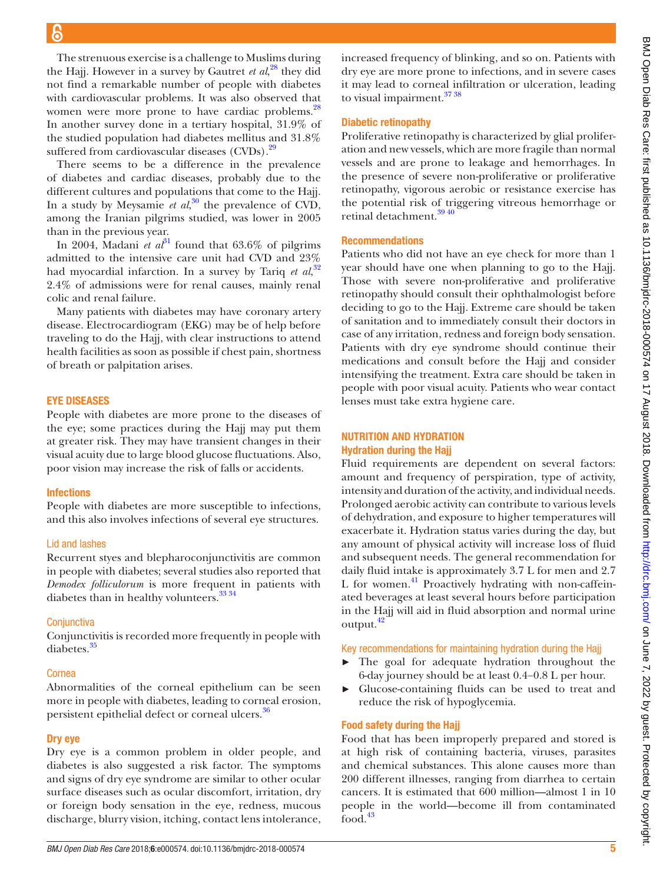The strenuous exercise is a challenge to Muslims during the Hajj. However in a survey by Gautret *et al*, [28](#page-7-21) they did not find a remarkable number of people with diabetes with cardiovascular problems. It was also observed that women were more prone to have cardiac problems.<sup>[28](#page-7-21)</sup> In another survey done in a tertiary hospital, 31.9% of the studied population had diabetes mellitus and 31.8% suffered from cardiovascular diseases  $(CVDs)$ .

There seems to be a difference in the prevalence of diabetes and cardiac diseases, probably due to the different cultures and populations that come to the Hajj. In a study by Meysamie *et al*, [30](#page-7-23) the prevalence of CVD, among the Iranian pilgrims studied, was lower in 2005 than in the previous year.

In 2004, Madani *et al*<sup>[31](#page-7-24)</sup> found that 63.6% of pilgrims admitted to the intensive care unit had CVD and 23% had myocardial infarction. In a survey by Tariq *et al*,<sup>[32](#page-7-25)</sup> 2.4% of admissions were for renal causes, mainly renal colic and renal failure.

Many patients with diabetes may have coronary artery disease. Electrocardiogram (EKG) may be of help before traveling to do the Hajj, with clear instructions to attend health facilities as soon as possible if chest pain, shortness of breath or palpitation arises.

#### Eye diseases

People with diabetes are more prone to the diseases of the eye; some practices during the Hajj may put them at greater risk. They may have transient changes in their visual acuity due to large blood glucose fluctuations. Also, poor vision may increase the risk of falls or accidents.

#### **Infections**

People with diabetes are more susceptible to infections, and this also involves infections of several eye structures.

#### Lid and lashes

Recurrent styes and blepharoconjunctivitis are common in people with diabetes; several studies also reported that *Demodex folliculorum* is more frequent in patients with diabetes than in healthy volunteers.<sup>[33 34](#page-7-26)</sup>

#### **Conjunctiva**

Conjunctivitis is recorded more frequently in people with diabetes.<sup>35</sup>

#### **Cornea**

Abnormalities of the corneal epithelium can be seen more in people with diabetes, leading to corneal erosion, persistent epithelial defect or corneal ulcers.<sup>[36](#page-7-28)</sup>

#### Dry eye

Dry eye is a common problem in older people, and diabetes is also suggested a risk factor. The symptoms and signs of dry eye syndrome are similar to other ocular surface diseases such as ocular discomfort, irritation, dry or foreign body sensation in the eye, redness, mucous discharge, blurry vision, itching, contact lens intolerance,

increased frequency of blinking, and so on. Patients with dry eye are more prone to infections, and in severe cases it may lead to corneal infiltration or ulceration, leading to visual impairment.<sup>37</sup> 38

#### Diabetic retinopathy

Proliferative retinopathy is characterized by glial proliferation and new vessels, which are more fragile than normal vessels and are prone to leakage and hemorrhages. In the presence of severe non-proliferative or proliferative retinopathy, vigorous aerobic or resistance exercise has the potential risk of triggering vitreous hemorrhage or retinal detachment. $39\frac{40}{10}$ 

#### Recommendations

Patients who did not have an eye check for more than 1 year should have one when planning to go to the Hajj. Those with severe non-proliferative and proliferative retinopathy should consult their ophthalmologist before deciding to go to the Hajj. Extreme care should be taken of sanitation and to immediately consult their doctors in case of any irritation, redness and foreign body sensation. Patients with dry eye syndrome should continue their medications and consult before the Hajj and consider intensifying the treatment. Extra care should be taken in people with poor visual acuity. Patients who wear contact lenses must take extra hygiene care.

#### Nutrition and hydration Hydration during the Hajj

Fluid requirements are dependent on several factors: amount and frequency of perspiration, type of activity, intensity and duration of the activity, and individual needs. Prolonged aerobic activity can contribute to various levels of dehydration, and exposure to higher temperatures will exacerbate it. Hydration status varies during the day, but any amount of physical activity will increase loss of fluid and subsequent needs. The general recommendation for daily fluid intake is approximately 3.7 L for men and 2.7 L for women. $^{41}$  Proactively hydrating with non-caffeinated beverages at least several hours before participation in the Hajj will aid in fluid absorption and normal urine output.<sup>[42](#page-8-0)</sup>

#### Key recommendations for maintaining hydration during the Hajj

- The goal for adequate hydration throughout the 6-day journey should be at least 0.4−0.8 L per hour.
- ► Glucose-containing fluids can be used to treat and reduce the risk of hypoglycemia.

#### Food safety during the Hajj

Food that has been improperly prepared and stored is at high risk of containing bacteria, viruses, parasites and chemical substances. This alone causes more than 200 different illnesses, ranging from diarrhea to certain cancers. It is estimated that 600 million—almost 1 in 10 people in the world—become ill from contaminated food.<sup>[43](#page-8-1)</sup>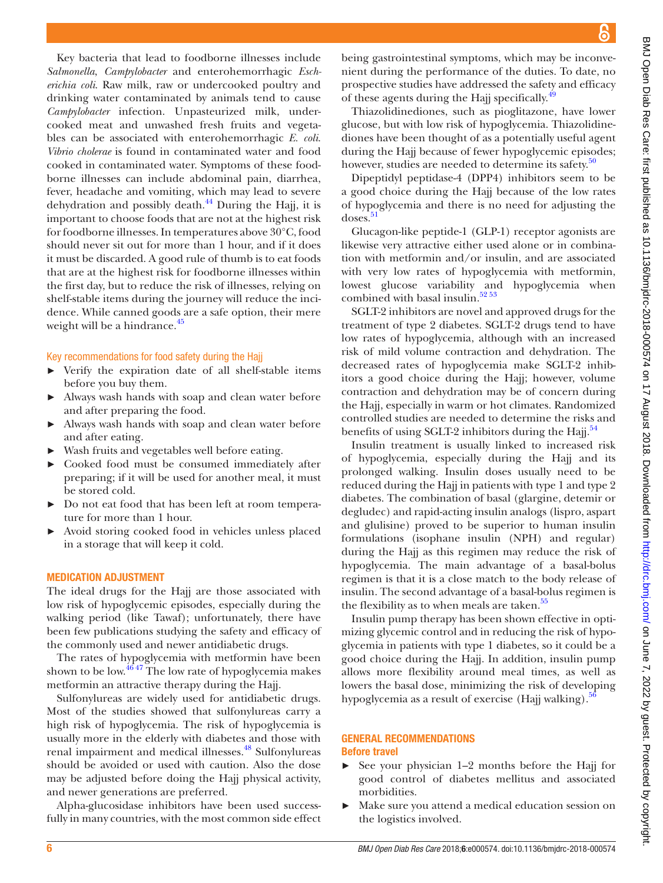Key bacteria that lead to foodborne illnesses include *Salmonella*, *Campylobacter* and enterohemorrhagic *Escherichia coli*. Raw milk, raw or undercooked poultry and drinking water contaminated by animals tend to cause *Campylobacter* infection. Unpasteurized milk, undercooked meat and unwashed fresh fruits and vegetables can be associated with enterohemorrhagic *E. coli*. *Vibrio cholerae* is found in contaminated water and food cooked in contaminated water. Symptoms of these foodborne illnesses can include abdominal pain, diarrhea, fever, headache and vomiting, which may lead to severe dehydration and possibly death.[44](#page-8-2) During the Hajj, it is important to choose foods that are not at the highest risk for foodborne illnesses. In temperatures above 30°C, food should never sit out for more than 1 hour, and if it does it must be discarded. A good rule of thumb is to eat foods that are at the highest risk for foodborne illnesses within the first day, but to reduce the risk of illnesses, relying on shelf-stable items during the journey will reduce the incidence. While canned goods are a safe option, their mere weight will be a hindrance.<sup>[45](#page-8-3)</sup>

### Key recommendations for food safety during the Hajj

- ► Verify the expiration date of all shelf-stable items before you buy them.
- ► Always wash hands with soap and clean water before and after preparing the food.
- ► Always wash hands with soap and clean water before and after eating.
- ► Wash fruits and vegetables well before eating.
- ► Cooked food must be consumed immediately after preparing; if it will be used for another meal, it must be stored cold.
- ► Do not eat food that has been left at room temperature for more than 1 hour.
- ► Avoid storing cooked food in vehicles unless placed in a storage that will keep it cold.

#### Medication adjustment

The ideal drugs for the Hajj are those associated with low risk of hypoglycemic episodes, especially during the walking period (like Tawaf); unfortunately, there have been few publications studying the safety and efficacy of the commonly used and newer antidiabetic drugs.

The rates of hypoglycemia with metformin have been shown to be low. $4647$  The low rate of hypoglycemia makes metformin an attractive therapy during the Hajj.

Sulfonylureas are widely used for antidiabetic drugs. Most of the studies showed that sulfonylureas carry a high risk of hypoglycemia. The risk of hypoglycemia is usually more in the elderly with diabetes and those with renal impairment and medical illnesses.<sup>48</sup> Sulfonylureas should be avoided or used with caution. Also the dose may be adjusted before doing the Hajj physical activity, and newer generations are preferred.

Alpha-glucosidase inhibitors have been used successfully in many countries, with the most common side effect being gastrointestinal symptoms, which may be inconvenient during the performance of the duties. To date, no prospective studies have addressed the safety and efficacy of these agents during the Hajj specifically.<sup>[49](#page-8-6)</sup>

Thiazolidinediones, such as pioglitazone, have lower glucose, but with low risk of hypoglycemia. Thiazolidinediones have been thought of as a potentially useful agent during the Hajj because of fewer hypoglycemic episodes; however, studies are needed to determine its safety.<sup>[50](#page-8-7)</sup>

Dipeptidyl peptidase-4 (DPP4) inhibitors seem to be a good choice during the Hajj because of the low rates of hypoglycemia and there is no need for adjusting the  $doses.<sup>51</sup>$ 

Glucagon-like peptide-1 (GLP-1) receptor agonists are likewise very attractive either used alone or in combination with metformin and/or insulin, and are associated with very low rates of hypoglycemia with metformin, lowest glucose variability and hypoglycemia when combined with basal insulin.<sup>52 53</sup>

SGLT-2 inhibitors are novel and approved drugs for the treatment of type 2 diabetes. SGLT-2 drugs tend to have low rates of hypoglycemia, although with an increased risk of mild volume contraction and dehydration. The decreased rates of hypoglycemia make SGLT-2 inhibitors a good choice during the Hajj; however, volume contraction and dehydration may be of concern during the Hajj, especially in warm or hot climates. Randomized controlled studies are needed to determine the risks and benefits of using SGLT-2 inhibitors during the Hajj. $^{54}$ 

Insulin treatment is usually linked to increased risk of hypoglycemia, especially during the Hajj and its prolonged walking. Insulin doses usually need to be reduced during the Hajj in patients with type 1 and type 2 diabetes. The combination of basal (glargine, detemir or degludec) and rapid-acting insulin analogs (lispro, aspart and glulisine) proved to be superior to human insulin formulations (isophane insulin (NPH) and regular) during the Hajj as this regimen may reduce the risk of hypoglycemia. The main advantage of a basal-bolus regimen is that it is a close match to the body release of insulin. The second advantage of a basal-bolus regimen is the flexibility as to when meals are taken.<sup>[55](#page-8-11)</sup>

Insulin pump therapy has been shown effective in optimizing glycemic control and in reducing the risk of hypoglycemia in patients with type 1 diabetes, so it could be a good choice during the Hajj. In addition, insulin pump allows more flexibility around meal times, as well as lowers the basal dose, minimizing the risk of developing hypoglycemia as a result of exercise (Hajj walking).<sup>5</sup>

#### General recommendations Before travel

- ► See your physician 1–2 months before the Hajj for good control of diabetes mellitus and associated morbidities.
- ► Make sure you attend a medical education session on the logistics involved.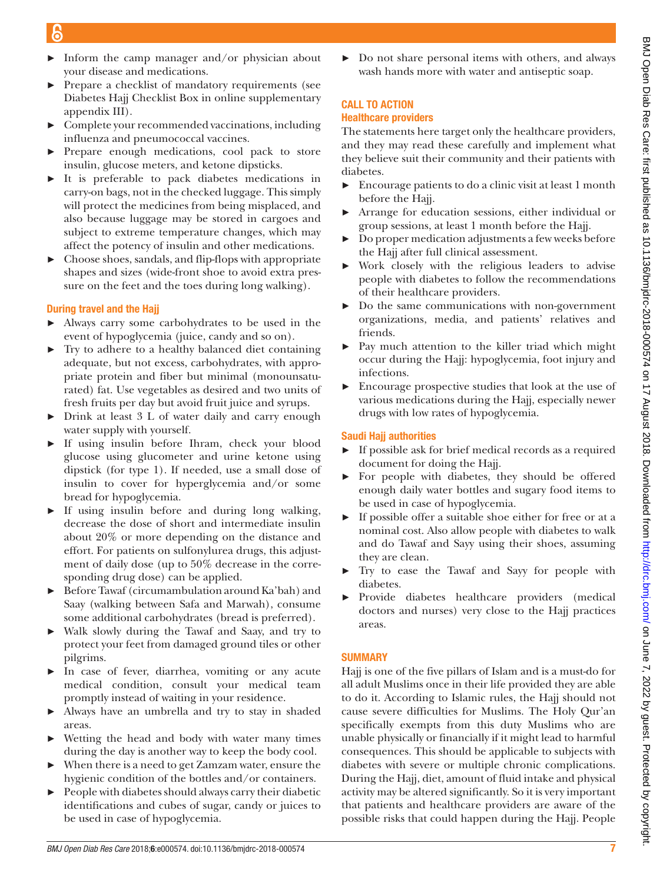- $\blacktriangleright$  Inform the camp manager and/or physician about your disease and medications.
- Prepare a checklist of mandatory requirements (see Diabetes Hajj Checklist Box in [online supplementary](https://dx.doi.org/10.1136/bmjdrc-2018-000574) [appendix III](https://dx.doi.org/10.1136/bmjdrc-2018-000574)).
- ► Complete your recommended vaccinations, including influenza and pneumococcal vaccines.
- ► Prepare enough medications, cool pack to store insulin, glucose meters, and ketone dipsticks.
- ► It is preferable to pack diabetes medications in carry-on bags, not in the checked luggage. This simply will protect the medicines from being misplaced, and also because luggage may be stored in cargoes and subject to extreme temperature changes, which may affect the potency of insulin and other medications.
- ► Choose shoes, sandals, and flip-flops with appropriate shapes and sizes (wide-front shoe to avoid extra pressure on the feet and the toes during long walking).

#### During travel and the Hajj

- ► Always carry some carbohydrates to be used in the event of hypoglycemia (juice, candy and so on).
- ► Try to adhere to a healthy balanced diet containing adequate, but not excess, carbohydrates, with appropriate protein and fiber but minimal (monounsaturated) fat. Use vegetables as desired and two units of fresh fruits per day but avoid fruit juice and syrups.
- ► Drink at least 3 L of water daily and carry enough water supply with yourself.
- ► If using insulin before Ihram, check your blood glucose using glucometer and urine ketone using dipstick (for type 1). If needed, use a small dose of insulin to cover for hyperglycemia and/or some bread for hypoglycemia.
- $\triangleright$  If using insulin before and during long walking, decrease the dose of short and intermediate insulin about 20% or more depending on the distance and effort. For patients on sulfonylurea drugs, this adjustment of daily dose (up to 50% decrease in the corresponding drug dose) can be applied.
- ► Before Tawaf (circumambulation around Ka'bah) and Saay (walking between Safa and Marwah), consume some additional carbohydrates (bread is preferred).
- ► Walk slowly during the Tawaf and Saay, and try to protect your feet from damaged ground tiles or other pilgrims.
- ► In case of fever, diarrhea, vomiting or any acute medical condition, consult your medical team promptly instead of waiting in your residence.
- ► Always have an umbrella and try to stay in shaded areas.
- Wetting the head and body with water many times during the day is another way to keep the body cool.
- ► When there is a need to get Zamzam water, ensure the hygienic condition of the bottles and/or containers.
- ► People with diabetes should always carry their diabetic identifications and cubes of sugar, candy or juices to be used in case of hypoglycemia.

► Do not share personal items with others, and always wash hands more with water and antiseptic soap.

# Call to action

### Healthcare providers

The statements here target only the healthcare providers, and they may read these carefully and implement what they believe suit their community and their patients with diabetes.

- $\blacktriangleright$  Encourage patients to do a clinic visit at least 1 month before the Hajj.
- ► Arrange for education sessions, either individual or group sessions, at least 1 month before the Hajj.
- ► Do proper medication adjustments a few weeks before the Hajj after full clinical assessment.
- Work closely with the religious leaders to advise people with diabetes to follow the recommendations of their healthcare providers.
- ► Do the same communications with non-government organizations, media, and patients' relatives and friends.
- ► Pay much attention to the killer triad which might occur during the Hajj: hypoglycemia, foot injury and infections.
- ► Encourage prospective studies that look at the use of various medications during the Hajj, especially newer drugs with low rates of hypoglycemia.

### Saudi Hajj authorities

- ► If possible ask for brief medical records as a required document for doing the Hajj.
- For people with diabetes, they should be offered enough daily water bottles and sugary food items to be used in case of hypoglycemia.
- ► If possible offer a suitable shoe either for free or at a nominal cost. Also allow people with diabetes to walk and do Tawaf and Sayy using their shoes, assuming they are clean.
- ► Try to ease the Tawaf and Sayy for people with diabetes.
- Provide diabetes healthcare providers (medical doctors and nurses) very close to the Hajj practices areas.

### **SUMMARY**

Hajj is one of the five pillars of Islam and is a must-do for all adult Muslims once in their life provided they are able to do it. According to Islamic rules, the Hajj should not cause severe difficulties for Muslims. The Holy Qur'an specifically exempts from this duty Muslims who are unable physically or financially if it might lead to harmful consequences. This should be applicable to subjects with diabetes with severe or multiple chronic complications. During the Hajj, diet, amount of fluid intake and physical activity may be altered significantly. So it is very important that patients and healthcare providers are aware of the possible risks that could happen during the Hajj. People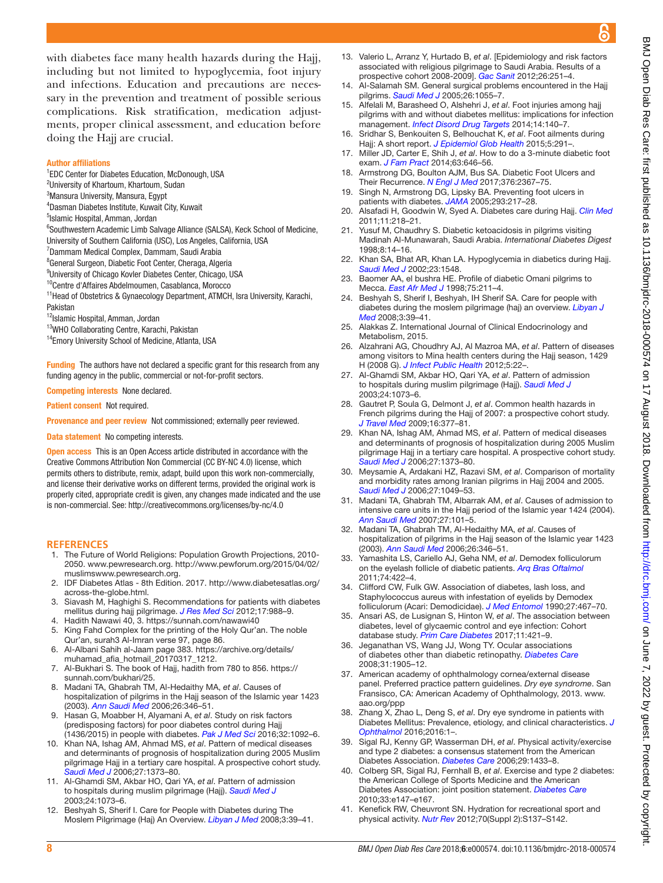BMJ Open Diab Res Care: first published as 10.1136/bmjdrc-2018-000574 on 17 August 2018. Downloaded from Dimpill Ampill Amgram, BMJ Open Diab Res Carected by copyright.

BMJ Open Diab Res Care: first published as 10.1136/bmjdrc-2018-000574 on 17 August 2018. Downloaded from http://drc.bmj.com/ on June 7, 2022 by guest. Protected by copyright

#### Author affiliations

- 1 EDC Center for Diabetes Education, McDonough, USA
- <sup>2</sup>University of Khartoum, Khartoum, Sudan
- 3 Mansura University, Mansura, Egypt
- 4 Dasman Diabetes Institute, Kuwait City, Kuwait
- 5 Islamic Hospital, Amman, Jordan
- <sup>6</sup>Southwestern Academic Limb Salvage Alliance (SALSA), Keck School of Medicine,
- University of Southern California (USC), Los Angeles, California, USA
- 7 Dammam Medical Complex, Dammam, Saudi Arabia
- <sup>8</sup>General Surgeon, Diabetic Foot Center, Cheraga, Algeria
- 9 University of Chicago Kovler Diabetes Center, Chicago, USA
- 10Centre d'Affaires Abdelmoumen, Casablanca, Morocco
- <sup>11</sup> Head of Obstetrics & Gynaecology Department, ATMCH, Isra University, Karachi, Pakistan
- <sup>12</sup>Islamic Hospital, Amman, Jordan
- 13WHO Collaborating Centre, Karachi, Pakistan
- <sup>14</sup>Emory University School of Medicine, Atlanta, USA

Funding The authors have not declared a specific grant for this research from any funding agency in the public, commercial or not-for-profit sectors.

Competing interests None declared.

Patient consent Not required.

Provenance and peer review Not commissioned; externally peer reviewed.

Data statement No competing interests.

Open access This is an Open Access article distributed in accordance with the Creative Commons Attribution Non Commercial (CC BY-NC 4.0) license, which permits others to distribute, remix, adapt, build upon this work non-commercially, and license their derivative works on different terms, provided the original work is properly cited, appropriate credit is given, any changes made indicated and the use is non-commercial. See:<http://creativecommons.org/licenses/by-nc/4.0>

#### **References**

- <span id="page-7-0"></span>1. The Future of World Religions: Population Growth Projections, 2010- 2050. <www.pewresearch.org>. [http://www.pewforum.org/2015/04/02/](http://www.pewforum.org/2015/04/02/muslimswww.pewresearch.org) [muslimswww.pewresearch.org](http://www.pewforum.org/2015/04/02/muslimswww.pewresearch.org).
- <span id="page-7-1"></span>2. IDF Diabetes Atlas - 8th Edition. 2017. [http://www.diabetesatlas.org/](http://www.diabetesatlas.org/across-the-globe.html) [across-the-globe.html.](http://www.diabetesatlas.org/across-the-globe.html)
- <span id="page-7-2"></span>3. Siavash M, Haghighi S. Recommendations for patients with diabetes mellitus during hajj pilgrimage. *[J Res Med Sci](http://www.ncbi.nlm.nih.gov/pubmed/23826004)* 2012;17:988–9.
- <span id="page-7-4"></span><span id="page-7-3"></span>4. Hadith Nawawi 40, 3. <https://sunnah.com/nawawi40> 5. King Fahd Complex for the printing of the Holy Qur'an. The noble
- <span id="page-7-5"></span>Qur'an, surah3 Al-Imran verse 97, page 86. 6. Al-Albani Sahih al-Jaam page 383. [https://archive.org/details/](https://archive.org/details/muhamad_afia_hotmail_20170317_1212) [muhamad\\_afia\\_hotmail\\_20170317\\_1212](https://archive.org/details/muhamad_afia_hotmail_20170317_1212).
- <span id="page-7-6"></span>7. Al-Bukhari S. The book of Hajj, hadith from 780 to 856. [https://](https://sunnah.com/bukhari/25) [sunnah.com/bukhari/25](https://sunnah.com/bukhari/25).
- <span id="page-7-7"></span>8. Madani TA, Ghabrah TM, Al-Hedaithy MA, *et al*. Causes of hospitalization of pilgrims in the Hajj season of the Islamic year 1423 (2003). *[Ann Saudi Med](http://dx.doi.org/10.5144/0256-4947.2006.346)* 2006;26:346–51.
- <span id="page-7-8"></span>9. Hasan G, Moabber H, Alyamani A, *et al*. Study on risk factors (predisposing factors) for poor diabetes control during Hajj (1436/2015) in people with diabetes. *[Pak J Med Sci](http://dx.doi.org/10.12669/pjms.325.11217)* 2016;32:1092–6.
- <span id="page-7-9"></span>10. Khan NA, Ishag AM, Ahmad MS, *et al*. Pattern of medical diseases and determinants of prognosis of hospitalization during 2005 Muslim pilgrimage Hajj in a tertiary care hospital. A prospective cohort study. *[Saudi Med J](http://www.ncbi.nlm.nih.gov/pubmed/16951776)* 2006;27:1373–80.
- <span id="page-7-10"></span>11. Al-Ghamdi SM, Akbar HO, Qari YA, *et al*. Pattern of admission to hospitals during muslim pilgrimage (Hajj). *[Saudi Med J](http://www.ncbi.nlm.nih.gov/pubmed/14578971)* 2003;24:1073–6.
- <span id="page-7-11"></span>12. Beshyah S, Sherif I. Care for People with Diabetes during The Moslem Pilgrimage (Haj) An Overview. *[Libyan J Med](http://dx.doi.org/10.4176/071211)* 2008;3:39–41.
- 13. Valerio L, Arranz Y, Hurtado B, *et al*. [Epidemiology and risk factors associated with religious pilgrimage to Saudi Arabia. Results of a prospective cohort 2008-2009]. *[Gac Sanit](http://dx.doi.org/10.1016/j.gaceta.2011.09.011)* 2012;26:251–4.
- <span id="page-7-12"></span>14. Al-Salamah SM. General surgical problems encountered in the Hajj pilgrims. *[Saudi Med J](http://www.ncbi.nlm.nih.gov/pubmed/16047051)* 2005;26:1055–7.
- <span id="page-7-13"></span>15. Alfelali M, Barasheed O, Alshehri J, *et al*. Foot injuries among hajj pilgrims with and without diabetes mellitus: implications for infection management. *[Infect Disord Drug Targets](http://dx.doi.org/10.2174/1871526514666140713160413)* 2014;14:140–7.
- <span id="page-7-14"></span>16. Sridhar S, Benkouiten S, Belhouchat K, *et al*. Foot ailments during Hajj: A short report. *[J Epidemiol Glob Health](http://dx.doi.org/10.1016/j.jegh.2014.12.007)* 2015;5:291–.
- 17. Miller JD, Carter E, Shih J, *et al*. How to do a 3-minute diabetic foot exam. *[J Fam Pract](http://www.ncbi.nlm.nih.gov/pubmed/25362495)* 2014;63:646–56.
- 18. Armstrong DG, Boulton AJM, Bus SA. Diabetic Foot Ulcers and Their Recurrence. *[N Engl J Med](http://dx.doi.org/10.1056/NEJMra1615439)* 2017;376:2367–75.
- 19. Singh N, Armstrong DG, Lipsky BA. Preventing foot ulcers in patients with diabetes. *[JAMA](http://dx.doi.org/10.1001/jama.293.2.217)* 2005;293:217–28.
- <span id="page-7-15"></span>20. Alsafadi H, Goodwin W, Syed A. Diabetes care during Hajj. *[Clin Med](http://dx.doi.org/10.7861/clinmedicine.11-3-218)* 2011;11:218–21.
- <span id="page-7-16"></span>21. Yusuf M, Chaudhry S. Diabetic ketoacidosis in pilgrims visiting Madinah Al-Munawarah, Saudi Arabia. *International Diabetes Digest* 1998;8:14–16.
- <span id="page-7-17"></span>22. Khan SA, Bhat AR, Khan LA. Hypoglycemia in diabetics during Hajj. *[Saudi Med J](http://www.ncbi.nlm.nih.gov/pubmed/12518212)* 2002;23:1548.
- <span id="page-7-18"></span>23. Baomer AA, el bushra HE. Profile of diabetic Omani pilgrims to Mecca. *[East Afr Med J](http://www.ncbi.nlm.nih.gov/pubmed/9745836)* 1998;75:211–4.
- 24. Beshyah S, Sherif I, Beshyah, IH Sherif SA. Care for people with diabetes during the moslem pilgrimage (haj) an overview. *[Libyan J](http://dx.doi.org/10.4176/071211)  [Med](http://dx.doi.org/10.4176/071211)* 2008;3:39–41.
- <span id="page-7-19"></span>25. Alakkas Z. International Journal of Clinical Endocrinology and Metabolism, 2015.
- <span id="page-7-20"></span>26. Alzahrani AG, Choudhry AJ, Al Mazroa MA, *et al*. Pattern of diseases among visitors to Mina health centers during the Hajj season, 1429 H (2008 G). *[J Infect Public Health](http://dx.doi.org/10.1016/j.jiph.2011.10.003)* 2012;5:22–.
- 27. Al-Ghamdi SM, Akbar HO, Qari YA, *et al*. Pattern of admission to hospitals during muslim pilgrimage (Hajj). *[Saudi Med J](http://www.ncbi.nlm.nih.gov/pubmed/14578971)* 2003;24:1073–6.
- <span id="page-7-21"></span>28. Gautret P, Soula G, Delmont J, *et al*. Common health hazards in French pilgrims during the Hajj of 2007: a prospective cohort study. *[J Travel Med](http://dx.doi.org/10.1111/j.1708-8305.2009.00358.x)* 2009;16:377–81.
- <span id="page-7-22"></span>29. Khan NA, Ishag AM, Ahmad MS, *et al*. Pattern of medical diseases and determinants of prognosis of hospitalization during 2005 Muslim pilgrimage Hajj in a tertiary care hospital. A prospective cohort study. *[Saudi Med J](http://www.ncbi.nlm.nih.gov/pubmed/16951776)* 2006;27:1373–80.
- <span id="page-7-23"></span>30. Meysamie A, Ardakani HZ, Razavi SM, *et al*. Comparison of mortality and morbidity rates among Iranian pilgrims in Hajj 2004 and 2005. *[Saudi Med J](http://www.ncbi.nlm.nih.gov/pubmed/16830029)* 2006;27:1049–53.
- <span id="page-7-24"></span>31. Madani TA, Ghabrah TM, Albarrak AM, *et al*. Causes of admission to intensive care units in the Haij period of the Islamic year 1424 (2004). *[Ann Saudi Med](http://dx.doi.org/10.4103/0256-4947.51528)* 2007;27:101–5.
- <span id="page-7-25"></span>32. Madani TA, Ghabrah TM, Al-Hedaithy MA, *et al*. Causes of hospitalization of pilgrims in the Hajj season of the Islamic year 1423 (2003). *[Ann Saudi Med](http://www.ncbi.nlm.nih.gov/pubmed/17019102)* 2006;26:346–51.
- <span id="page-7-26"></span>33. Yamashita LS, Cariello AJ, Geha NM, *et al*. Demodex folliculorum on the eyelash follicle of diabetic patients. *[Arq Bras Oftalmol](http://dx.doi.org/10.1590/S0004-27492011000600008)* 2011;74:422–4.
- 34. Clifford CW, Fulk GW. Association of diabetes, lash loss, and Staphylococcus aureus with infestation of eyelids by Demodex folliculorum (Acari: Demodicidae). *[J Med Entomol](http://dx.doi.org/10.1093/jmedent/27.4.467)* 1990;27:467–70.
- <span id="page-7-27"></span>35. Ansari AS, de Lusignan S, Hinton W, *et al*. The association between diabetes, level of glycaemic control and eye infection: Cohort database study. *[Prim Care Diabetes](http://dx.doi.org/10.1016/j.pcd.2017.05.009)* 2017;11:421–9.
- <span id="page-7-28"></span>36. Jeganathan VS, Wang JJ, Wong TY. Ocular associations of diabetes other than diabetic retinopathy. *[Diabetes Care](http://dx.doi.org/10.2337/dc08-0342)* 2008;31:1905–12.
- <span id="page-7-29"></span>37. American academy of ophthalmology cornea/external disease panel. Preferred practice pattern guidelines. *Dry eye syndrome*. San Fransisco, CA: American Academy of Ophthalmology, 2013. [www.](www.aao.org/ppp) [aao.org/ppp](www.aao.org/ppp)
- 38. Zhang X, Zhao L, Deng S, *et al*. Dry eye syndrome in patients with Diabetes Mellitus: Prevalence, etiology, and clinical characteristics. *[J](http://dx.doi.org/10.1155/2016/8201053)  [Ophthalmol](http://dx.doi.org/10.1155/2016/8201053)* 2016;2016:1–.
- <span id="page-7-30"></span>39. Sigal RJ, Kenny GP, Wasserman DH, *et al*. Physical activity/exercise and type 2 diabetes: a consensus statement from the American Diabetes Association. *[Diabetes Care](http://dx.doi.org/10.2337/dc06-9910)* 2006;29:1433–8.
- 40. Colberg SR, Sigal RJ, Fernhall B, *et al*. Exercise and type 2 diabetes: the American College of Sports Medicine and the American Diabetes Association: joint position statement. *[Diabetes Care](http://dx.doi.org/10.2337/dc10-9990)* 2010;33:e147–e167.
- <span id="page-7-31"></span>Kenefick RW, Cheuvront SN. Hydration for recreational sport and physical activity. *[Nutr Rev](http://dx.doi.org/10.1111/j.1753-4887.2012.00523.x)* 2012;70(Suppl 2):S137–S142.